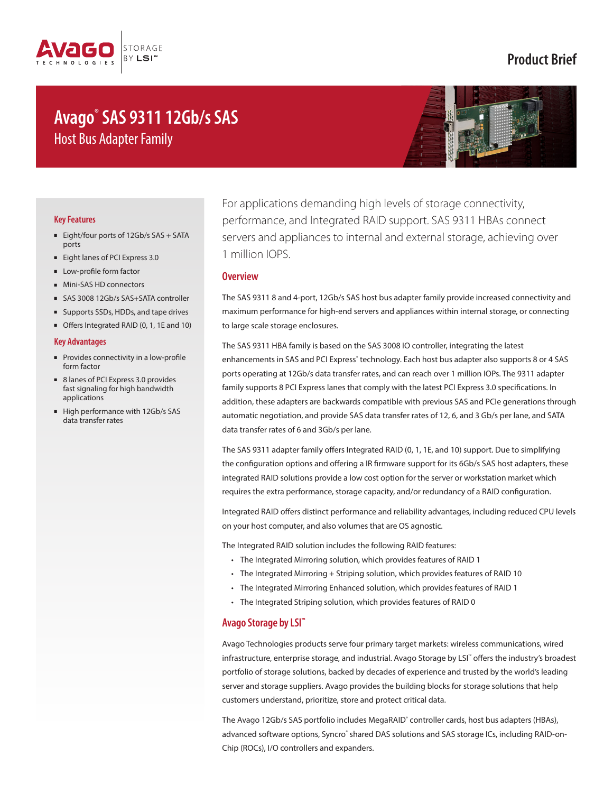

## **Product Brief**

# **Avago® SAS 9311 12Gb/s SAS** Host Bus Adapter Family



#### **Key Features**

- Eight/four ports of 12Gb/s SAS + SATA ports
- Eight lanes of PCI Express 3.0
- Low-profile form factor
- Mini-SAS HD connectors
- SAS 3008 12Gb/s SAS+SATA controller
- Supports SSDs, HDDs, and tape drives
- Offers Integrated RAID (0, 1, 1E and 10)

#### **Key Advantages**

- Provides connectivity in a low-profile form factor
- 8 lanes of PCI Express 3.0 provides fast signaling for high bandwidth applications
- High performance with 12Gb/s SAS data transfer rates

For applications demanding high levels of storage connectivity, performance, and Integrated RAID support. SAS 9311 HBAs connect servers and appliances to internal and external storage, achieving over 1 million IOPS.

#### **Overview**

The SAS 9311 8 and 4-port, 12Gb/s SAS host bus adapter family provide increased connectivity and maximum performance for high-end servers and appliances within internal storage, or connecting to large scale storage enclosures.

The SAS 9311 HBA family is based on the SAS 3008 IO controller, integrating the latest enhancements in SAS and PCI Express<sup>®</sup> technology. Each host bus adapter also supports 8 or 4 SAS ports operating at 12Gb/s data transfer rates, and can reach over 1 million IOPs. The 9311 adapter family supports 8 PCI Express lanes that comply with the latest PCI Express 3.0 specifications. In addition, these adapters are backwards compatible with previous SAS and PCIe generations through automatic negotiation, and provide SAS data transfer rates of 12, 6, and 3 Gb/s per lane, and SATA data transfer rates of 6 and 3Gb/s per lane.

The SAS 9311 adapter family offers Integrated RAID (0, 1, 1E, and 10) support. Due to simplifying the configuration options and offering a IR firmware support for its 6Gb/s SAS host adapters, these integrated RAID solutions provide a low cost option for the server or workstation market which requires the extra performance, storage capacity, and/or redundancy of a RAID configuration.

Integrated RAID offers distinct performance and reliability advantages, including reduced CPU levels on your host computer, and also volumes that are OS agnostic.

The Integrated RAID solution includes the following RAID features:

- The Integrated Mirroring solution, which provides features of RAID 1
- The Integrated Mirroring + Striping solution, which provides features of RAID 10
- The Integrated Mirroring Enhanced solution, which provides features of RAID 1
- The Integrated Striping solution, which provides features of RAID 0

## **Avago Storage by LSI™**

Avago Technologies products serve four primary target markets: wireless communications, wired infrastructure, enterprise storage, and industrial. Avago Storage by LSI™ offers the industry's broadest portfolio of storage solutions, backed by decades of experience and trusted by the world's leading server and storage suppliers. Avago provides the building blocks for storage solutions that help customers understand, prioritize, store and protect critical data.

The Avago 12Gb/s SAS portfolio includes MegaRAID<sup>®</sup> controller cards, host bus adapters (HBAs), advanced software options, Syncro' shared DAS solutions and SAS storage ICs, including RAID-on-Chip (ROCs), I/O controllers and expanders.